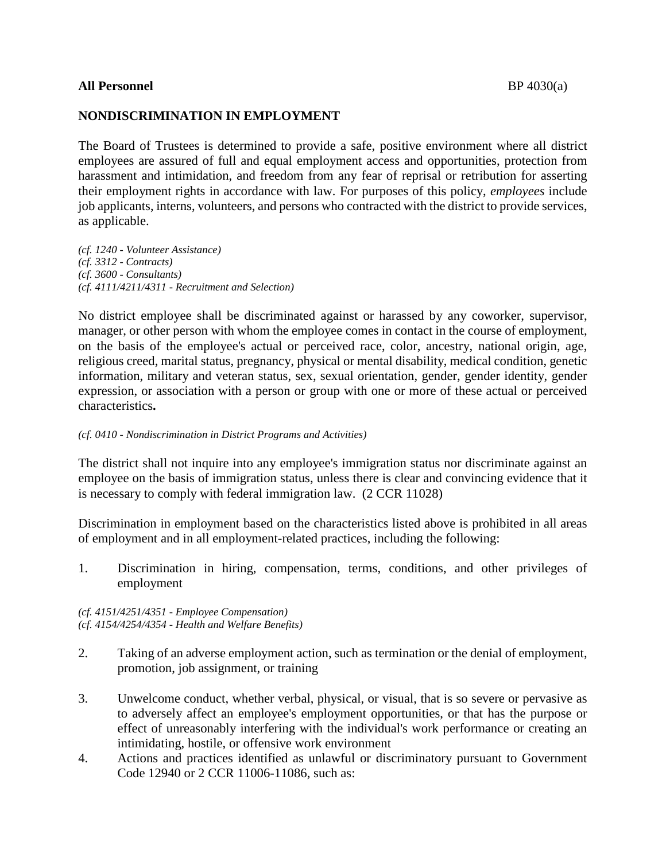## **All Personnel** BP 4030(a)

## **NONDISCRIMINATION IN EMPLOYMENT**

The Board of Trustees is determined to provide a safe, positive environment where all district employees are assured of full and equal employment access and opportunities, protection from harassment and intimidation, and freedom from any fear of reprisal or retribution for asserting their employment rights in accordance with law. For purposes of this policy, *employees* include job applicants, interns, volunteers, and persons who contracted with the district to provide services, as applicable.

*(cf. 1240 - Volunteer Assistance) (cf. 3312 - Contracts) (cf. 3600 - Consultants) (cf. 4111/4211/4311 - Recruitment and Selection)*

No district employee shall be discriminated against or harassed by any coworker, supervisor, manager, or other person with whom the employee comes in contact in the course of employment, on the basis of the employee's actual or perceived race, color, ancestry, national origin, age, religious creed, marital status, pregnancy, physical or mental disability, medical condition, genetic information, military and veteran status, sex, sexual orientation, gender, gender identity, gender expression, or association with a person or group with one or more of these actual or perceived characteristics**.**

#### *(cf. 0410 - Nondiscrimination in District Programs and Activities)*

The district shall not inquire into any employee's immigration status nor discriminate against an employee on the basis of immigration status, unless there is clear and convincing evidence that it is necessary to comply with federal immigration law. (2 CCR 11028)

Discrimination in employment based on the characteristics listed above is prohibited in all areas of employment and in all employment-related practices, including the following:

1. Discrimination in hiring, compensation, terms, conditions, and other privileges of employment

*(cf. 4151/4251/4351 - Employee Compensation) (cf. 4154/4254/4354 - Health and Welfare Benefits)*

- 2. Taking of an adverse employment action, such as termination or the denial of employment, promotion, job assignment, or training
- 3. Unwelcome conduct, whether verbal, physical, or visual, that is so severe or pervasive as to adversely affect an employee's employment opportunities, or that has the purpose or effect of unreasonably interfering with the individual's work performance or creating an intimidating, hostile, or offensive work environment
- 4. Actions and practices identified as unlawful or discriminatory pursuant to Government Code 12940 or 2 CCR 11006-11086, such as: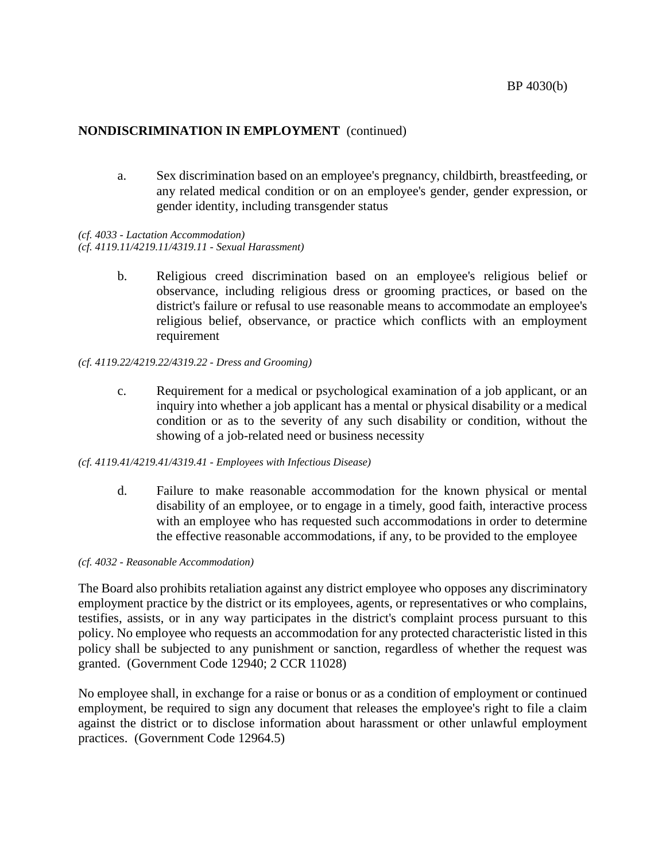a. Sex discrimination based on an employee's pregnancy, childbirth, breastfeeding, or any related medical condition or on an employee's gender, gender expression, or gender identity, including transgender status

*(cf. 4033 - Lactation Accommodation) (cf. 4119.11/4219.11/4319.11 - Sexual Harassment)*

> b. Religious creed discrimination based on an employee's religious belief or observance, including religious dress or grooming practices, or based on the district's failure or refusal to use reasonable means to accommodate an employee's religious belief, observance, or practice which conflicts with an employment requirement

#### *(cf. 4119.22/4219.22/4319.22 - Dress and Grooming)*

c. Requirement for a medical or psychological examination of a job applicant, or an inquiry into whether a job applicant has a mental or physical disability or a medical condition or as to the severity of any such disability or condition, without the showing of a job-related need or business necessity

#### *(cf. 4119.41/4219.41/4319.41 - Employees with Infectious Disease)*

d. Failure to make reasonable accommodation for the known physical or mental disability of an employee, or to engage in a timely, good faith, interactive process with an employee who has requested such accommodations in order to determine the effective reasonable accommodations, if any, to be provided to the employee

#### *(cf. 4032 - Reasonable Accommodation)*

The Board also prohibits retaliation against any district employee who opposes any discriminatory employment practice by the district or its employees, agents, or representatives or who complains, testifies, assists, or in any way participates in the district's complaint process pursuant to this policy. No employee who requests an accommodation for any protected characteristic listed in this policy shall be subjected to any punishment or sanction, regardless of whether the request was granted. (Government Code 12940; 2 CCR 11028)

No employee shall, in exchange for a raise or bonus or as a condition of employment or continued employment, be required to sign any document that releases the employee's right to file a claim against the district or to disclose information about harassment or other unlawful employment practices. (Government Code 12964.5)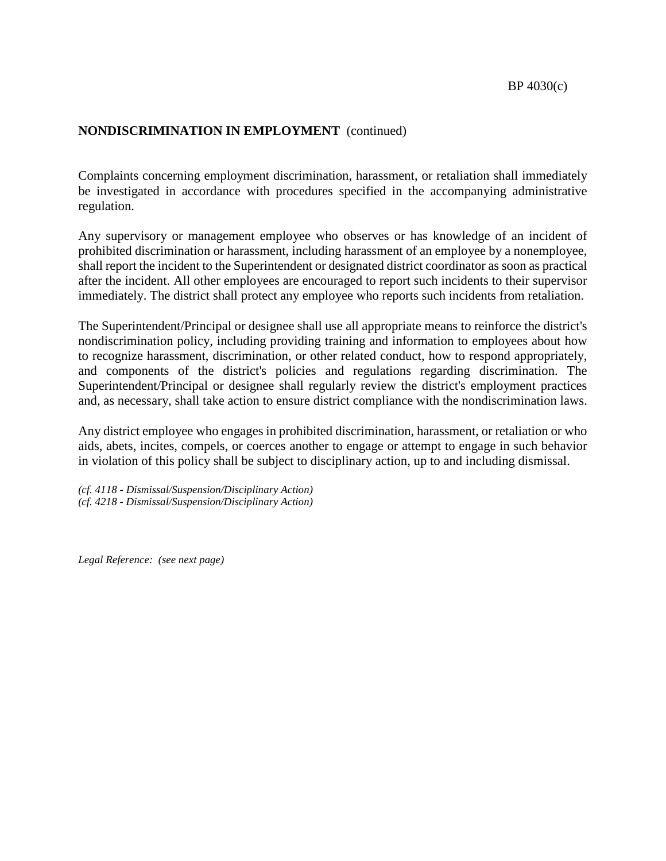Complaints concerning employment discrimination, harassment, or retaliation shall immediately be investigated in accordance with procedures specified in the accompanying administrative regulation.

Any supervisory or management employee who observes or has knowledge of an incident of prohibited discrimination or harassment, including harassment of an employee by a nonemployee, shall report the incident to the Superintendent or designated district coordinator as soon as practical after the incident. All other employees are encouraged to report such incidents to their supervisor immediately. The district shall protect any employee who reports such incidents from retaliation.

The Superintendent/Principal or designee shall use all appropriate means to reinforce the district's nondiscrimination policy, including providing training and information to employees about how to recognize harassment, discrimination, or other related conduct, how to respond appropriately, and components of the district's policies and regulations regarding discrimination. The Superintendent/Principal or designee shall regularly review the district's employment practices and, as necessary, shall take action to ensure district compliance with the nondiscrimination laws.

Any district employee who engages in prohibited discrimination, harassment, or retaliation or who aids, abets, incites, compels, or coerces another to engage or attempt to engage in such behavior in violation of this policy shall be subject to disciplinary action, up to and including dismissal.

*(cf. 4118 - Dismissal/Suspension/Disciplinary Action) (cf. 4218 - Dismissal/Suspension/Disciplinary Action)*

*Legal Reference: (see next page)*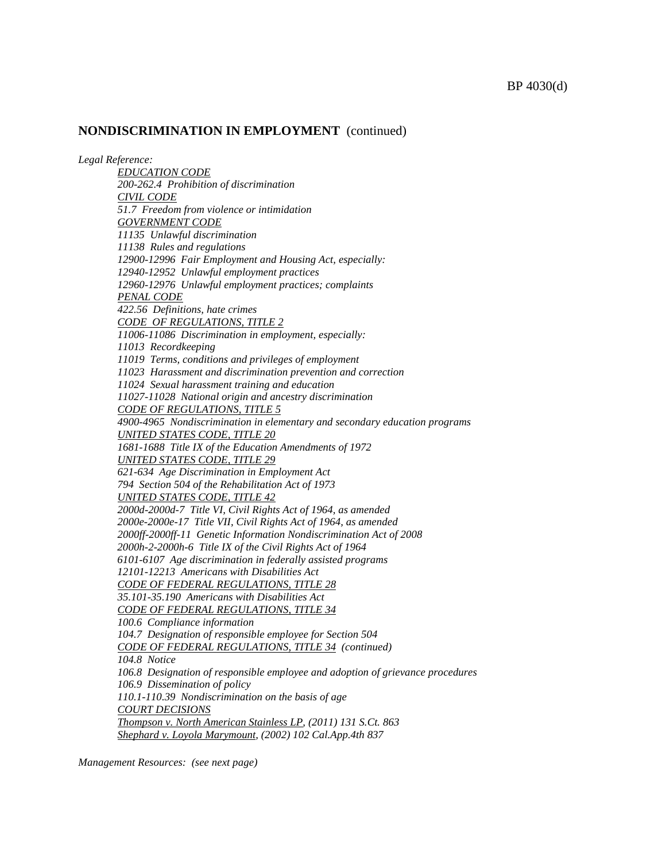*Legal Reference:*

*EDUCATION CODE 200-262.4 Prohibition of discrimination CIVIL CODE 51.7 Freedom from violence or intimidation GOVERNMENT CODE 11135 Unlawful discrimination 11138 Rules and regulations 12900-12996 Fair Employment and Housing Act, especially: 12940-12952 Unlawful employment practices 12960-12976 Unlawful employment practices; complaints PENAL CODE 422.56 Definitions, hate crimes CODE OF REGULATIONS, TITLE 2 11006-11086 Discrimination in employment, especially: 11013 Recordkeeping 11019 Terms, conditions and privileges of employment 11023 Harassment and discrimination prevention and correction 11024 Sexual harassment training and education 11027-11028 National origin and ancestry discrimination CODE OF REGULATIONS, TITLE 5 4900-4965 Nondiscrimination in elementary and secondary education programs UNITED STATES CODE, TITLE 20 1681-1688 Title IX of the Education Amendments of 1972 UNITED STATES CODE, TITLE 29 621-634 Age Discrimination in Employment Act 794 Section 504 of the Rehabilitation Act of 1973 UNITED STATES CODE, TITLE 42 2000d-2000d-7 Title VI, Civil Rights Act of 1964, as amended 2000e-2000e-17 Title VII, Civil Rights Act of 1964, as amended 2000ff-2000ff-11 Genetic Information Nondiscrimination Act of 2008 2000h-2-2000h-6 Title IX of the Civil Rights Act of 1964 6101-6107 Age discrimination in federally assisted programs 12101-12213 Americans with Disabilities Act CODE OF FEDERAL REGULATIONS, TITLE 28 35.101-35.190 Americans with Disabilities Act CODE OF FEDERAL REGULATIONS, TITLE 34 100.6 Compliance information 104.7 Designation of responsible employee for Section 504 CODE OF FEDERAL REGULATIONS, TITLE 34 (continued) 104.8 Notice 106.8 Designation of responsible employee and adoption of grievance procedures 106.9 Dissemination of policy 110.1-110.39 Nondiscrimination on the basis of age COURT DECISIONS Thompson v. North American Stainless LP, (2011) 131 S.Ct. 863 Shephard v. Loyola Marymount, (2002) 102 Cal.App.4th 837*

*Management Resources: (see next page)*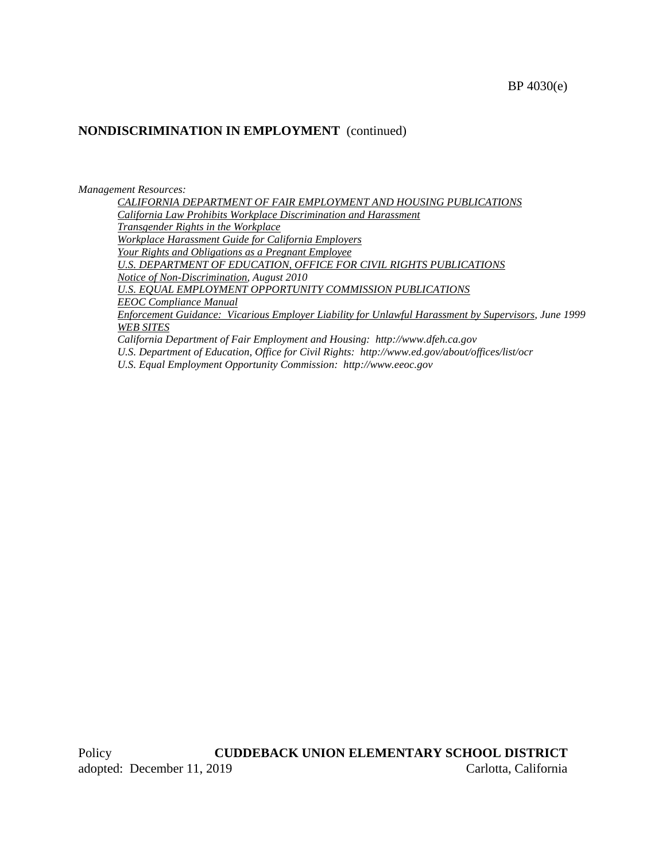#### *Management Resources:*

*CALIFORNIA DEPARTMENT OF FAIR EMPLOYMENT AND HOUSING PUBLICATIONS California Law Prohibits Workplace Discrimination and Harassment Transgender Rights in the Workplace Workplace Harassment Guide for California Employers Your Rights and Obligations as a Pregnant Employee U.S. DEPARTMENT OF EDUCATION, OFFICE FOR CIVIL RIGHTS PUBLICATIONS Notice of Non-Discrimination, August 2010 U.S. EQUAL EMPLOYMENT OPPORTUNITY COMMISSION PUBLICATIONS EEOC Compliance Manual Enforcement Guidance: Vicarious Employer Liability for Unlawful Harassment by Supervisors, June 1999 WEB SITES*

*California Department of Fair Employment and Housing: http://www.dfeh.ca.gov U.S. Department of Education, Office for Civil Rights: http://www.ed.gov/about/offices/list/ocr U.S. Equal Employment Opportunity Commission: http://www.eeoc.gov*

Policy **CUDDEBACK UNION ELEMENTARY SCHOOL DISTRICT** adopted: December 11, 2019 Carlotta, California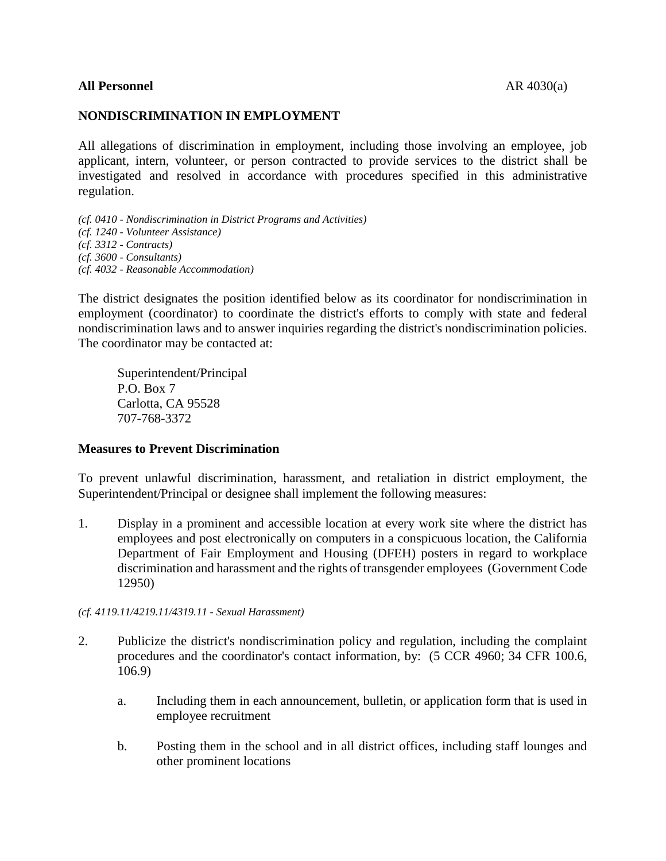## **All Personnel** AR 4030(a)

## **NONDISCRIMINATION IN EMPLOYMENT**

All allegations of discrimination in employment, including those involving an employee, job applicant, intern, volunteer, or person contracted to provide services to the district shall be investigated and resolved in accordance with procedures specified in this administrative regulation.

*(cf. 0410 - Nondiscrimination in District Programs and Activities) (cf. 1240 - Volunteer Assistance) (cf. 3312 - Contracts) (cf. 3600 - Consultants) (cf. 4032 - Reasonable Accommodation)*

The district designates the position identified below as its coordinator for nondiscrimination in employment (coordinator) to coordinate the district's efforts to comply with state and federal nondiscrimination laws and to answer inquiries regarding the district's nondiscrimination policies. The coordinator may be contacted at:

Superintendent/Principal P.O. Box 7 Carlotta, CA 95528 707-768-3372

#### **Measures to Prevent Discrimination**

To prevent unlawful discrimination, harassment, and retaliation in district employment, the Superintendent/Principal or designee shall implement the following measures:

1. Display in a prominent and accessible location at every work site where the district has employees and post electronically on computers in a conspicuous location, the California Department of Fair Employment and Housing (DFEH) posters in regard to workplace discrimination and harassment and the rights of transgender employees (Government Code 12950)

#### *(cf. 4119.11/4219.11/4319.11 - Sexual Harassment)*

- 2. Publicize the district's nondiscrimination policy and regulation, including the complaint procedures and the coordinator's contact information, by: (5 CCR 4960; 34 CFR 100.6, 106.9)
	- a. Including them in each announcement, bulletin, or application form that is used in employee recruitment
	- b. Posting them in the school and in all district offices, including staff lounges and other prominent locations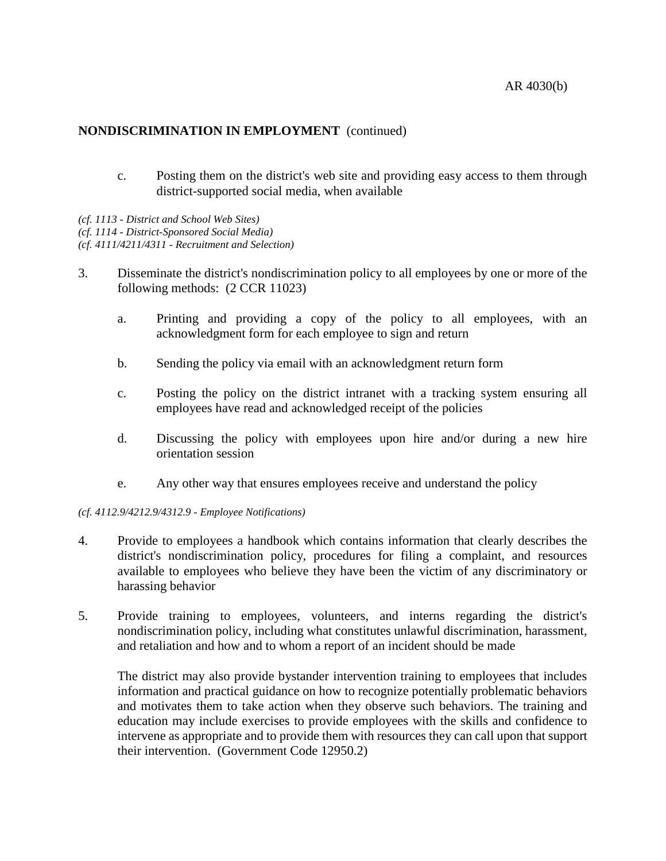- c. Posting them on the district's web site and providing easy access to them through district-supported social media, when available
- *(cf. 1113 - District and School Web Sites)*
- *(cf. 1114 - District-Sponsored Social Media)*

*(cf. 4111/4211/4311 - Recruitment and Selection)*

- 3. Disseminate the district's nondiscrimination policy to all employees by one or more of the following methods: (2 CCR 11023)
	- a. Printing and providing a copy of the policy to all employees, with an acknowledgment form for each employee to sign and return
	- b. Sending the policy via email with an acknowledgment return form
	- c. Posting the policy on the district intranet with a tracking system ensuring all employees have read and acknowledged receipt of the policies
	- d. Discussing the policy with employees upon hire and/or during a new hire orientation session
	- e. Any other way that ensures employees receive and understand the policy

#### *(cf. 4112.9/4212.9/4312.9 - Employee Notifications)*

- 4. Provide to employees a handbook which contains information that clearly describes the district's nondiscrimination policy, procedures for filing a complaint, and resources available to employees who believe they have been the victim of any discriminatory or harassing behavior
- 5. Provide training to employees, volunteers, and interns regarding the district's nondiscrimination policy, including what constitutes unlawful discrimination, harassment, and retaliation and how and to whom a report of an incident should be made

The district may also provide bystander intervention training to employees that includes information and practical guidance on how to recognize potentially problematic behaviors and motivates them to take action when they observe such behaviors. The training and education may include exercises to provide employees with the skills and confidence to intervene as appropriate and to provide them with resources they can call upon that support their intervention. (Government Code 12950.2)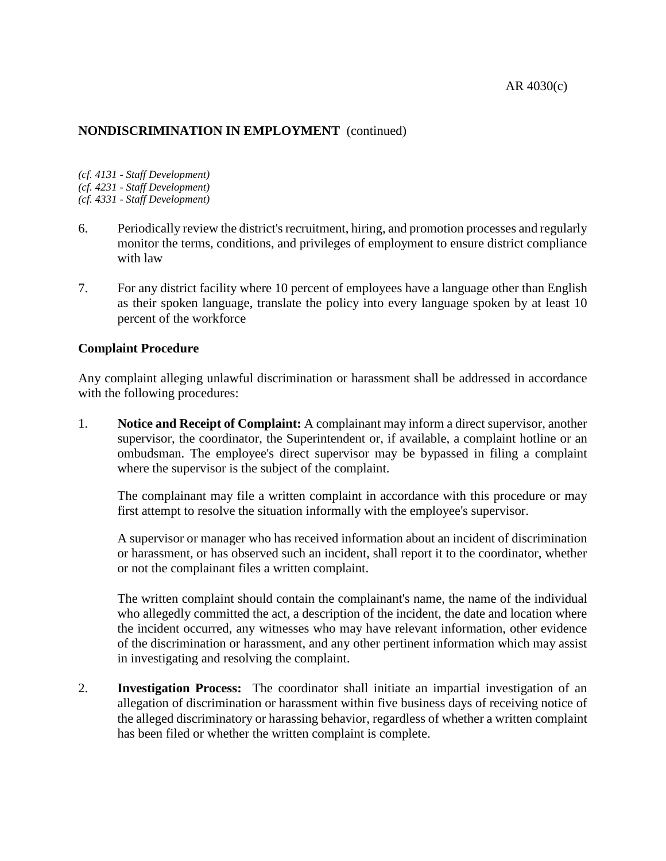*(cf. 4131 - Staff Development) (cf. 4231 - Staff Development) (cf. 4331 - Staff Development)*

- 6. Periodically review the district's recruitment, hiring, and promotion processes and regularly monitor the terms, conditions, and privileges of employment to ensure district compliance with law
- 7. For any district facility where 10 percent of employees have a language other than English as their spoken language, translate the policy into every language spoken by at least 10 percent of the workforce

## **Complaint Procedure**

Any complaint alleging unlawful discrimination or harassment shall be addressed in accordance with the following procedures:

1. **Notice and Receipt of Complaint:** A complainant may inform a direct supervisor, another supervisor, the coordinator, the Superintendent or, if available, a complaint hotline or an ombudsman. The employee's direct supervisor may be bypassed in filing a complaint where the supervisor is the subject of the complaint.

The complainant may file a written complaint in accordance with this procedure or may first attempt to resolve the situation informally with the employee's supervisor.

A supervisor or manager who has received information about an incident of discrimination or harassment, or has observed such an incident, shall report it to the coordinator, whether or not the complainant files a written complaint.

The written complaint should contain the complainant's name, the name of the individual who allegedly committed the act, a description of the incident, the date and location where the incident occurred, any witnesses who may have relevant information, other evidence of the discrimination or harassment, and any other pertinent information which may assist in investigating and resolving the complaint.

2. **Investigation Process:** The coordinator shall initiate an impartial investigation of an allegation of discrimination or harassment within five business days of receiving notice of the alleged discriminatory or harassing behavior, regardless of whether a written complaint has been filed or whether the written complaint is complete.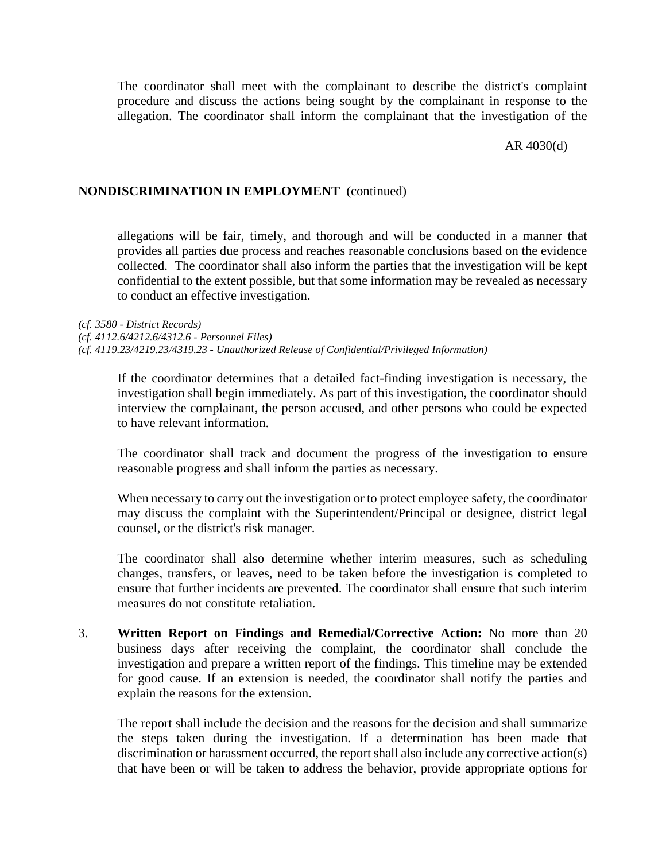The coordinator shall meet with the complainant to describe the district's complaint procedure and discuss the actions being sought by the complainant in response to the allegation. The coordinator shall inform the complainant that the investigation of the

AR 4030(d)

#### **NONDISCRIMINATION IN EMPLOYMENT** (continued)

allegations will be fair, timely, and thorough and will be conducted in a manner that provides all parties due process and reaches reasonable conclusions based on the evidence collected. The coordinator shall also inform the parties that the investigation will be kept confidential to the extent possible, but that some information may be revealed as necessary to conduct an effective investigation.

*(cf. 3580 - District Records) (cf. 4112.6/4212.6/4312.6 - Personnel Files) (cf. 4119.23/4219.23/4319.23 - Unauthorized Release of Confidential/Privileged Information)*

If the coordinator determines that a detailed fact-finding investigation is necessary, the investigation shall begin immediately. As part of this investigation, the coordinator should interview the complainant, the person accused, and other persons who could be expected to have relevant information.

The coordinator shall track and document the progress of the investigation to ensure reasonable progress and shall inform the parties as necessary.

When necessary to carry out the investigation or to protect employee safety, the coordinator may discuss the complaint with the Superintendent/Principal or designee, district legal counsel, or the district's risk manager.

The coordinator shall also determine whether interim measures, such as scheduling changes, transfers, or leaves, need to be taken before the investigation is completed to ensure that further incidents are prevented. The coordinator shall ensure that such interim measures do not constitute retaliation.

3. **Written Report on Findings and Remedial/Corrective Action:** No more than 20 business days after receiving the complaint, the coordinator shall conclude the investigation and prepare a written report of the findings. This timeline may be extended for good cause. If an extension is needed, the coordinator shall notify the parties and explain the reasons for the extension.

The report shall include the decision and the reasons for the decision and shall summarize the steps taken during the investigation. If a determination has been made that discrimination or harassment occurred, the report shall also include any corrective action(s) that have been or will be taken to address the behavior, provide appropriate options for